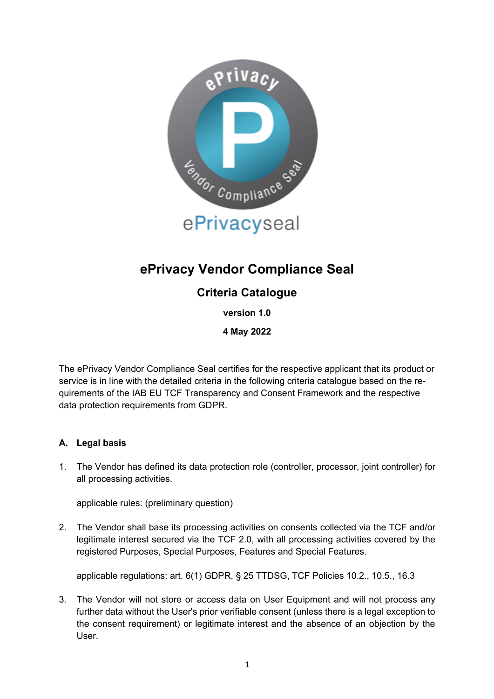

# **ePrivacy Vendor Compliance Seal**

## **Criteria Catalogue**

**version 1.0**

**4 May 2022**

The ePrivacy Vendor Compliance Seal certifies for the respective applicant that its product or service is in line with the detailed criteria in the following criteria catalogue based on the requirements of the IAB EU TCF Transparency and Consent Framework and the respective data protection requirements from GDPR.

### **A. Legal basis**

1. The Vendor has defined its data protection role (controller, processor, joint controller) for all processing activities.

applicable rules: (preliminary question)

2. The Vendor shall base its processing activities on consents collected via the TCF and/or legitimate interest secured via the TCF 2.0, with all processing activities covered by the registered Purposes, Special Purposes, Features and Special Features.

applicable regulations: art. 6(1) GDPR, § 25 TTDSG, TCF Policies 10.2., 10.5., 16.3

3. The Vendor will not store or access data on User Equipment and will not process any further data without the User's prior verifiable consent (unless there is a legal exception to the consent requirement) or legitimate interest and the absence of an objection by the User.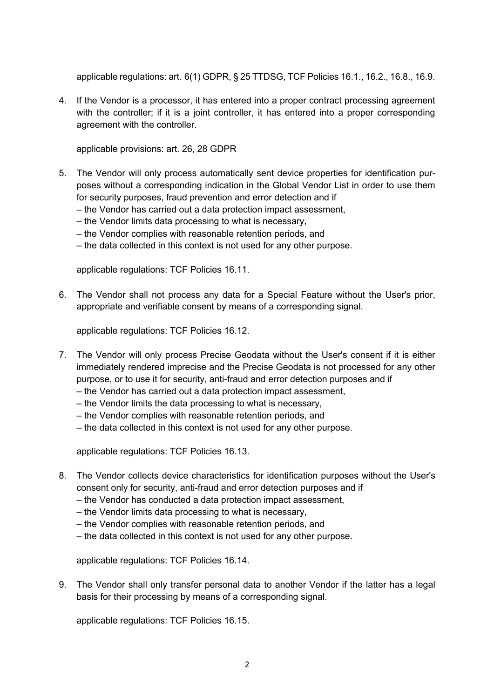applicable regulations: art. 6(1) GDPR, § 25 TTDSG, TCF Policies 16.1., 16.2., 16.8., 16.9.

4. If the Vendor is a processor, it has entered into a proper contract processing agreement with the controller; if it is a joint controller, it has entered into a proper corresponding agreement with the controller.

applicable provisions: art. 26, 28 GDPR

- 5. The Vendor will only process automatically sent device properties for identification purposes without a corresponding indication in the Global Vendor List in order to use them for security purposes, fraud prevention and error detection and if
	- the Vendor has carried out a data protection impact assessment,
	- the Vendor limits data processing to what is necessary,
	- the Vendor complies with reasonable retention periods, and
	- the data collected in this context is not used for any other purpose.

applicable regulations: TCF Policies 16.11.

6. The Vendor shall not process any data for a Special Feature without the User's prior, appropriate and verifiable consent by means of a corresponding signal.

applicable regulations: TCF Policies 16.12.

- 7. The Vendor will only process Precise Geodata without the User's consent if it is either immediately rendered imprecise and the Precise Geodata is not processed for any other purpose, or to use it for security, anti-fraud and error detection purposes and if
	- the Vendor has carried out a data protection impact assessment,
	- the Vendor limits the data processing to what is necessary,
	- the Vendor complies with reasonable retention periods, and
	- the data collected in this context is not used for any other purpose.

applicable regulations: TCF Policies 16.13.

- 8. The Vendor collects device characteristics for identification purposes without the User's consent only for security, anti-fraud and error detection purposes and if
	- the Vendor has conducted a data protection impact assessment,
	- the Vendor limits data processing to what is necessary,
	- the Vendor complies with reasonable retention periods, and
	- the data collected in this context is not used for any other purpose.

applicable regulations: TCF Policies 16.14.

9. The Vendor shall only transfer personal data to another Vendor if the latter has a legal basis for their processing by means of a corresponding signal.

applicable regulations: TCF Policies 16.15.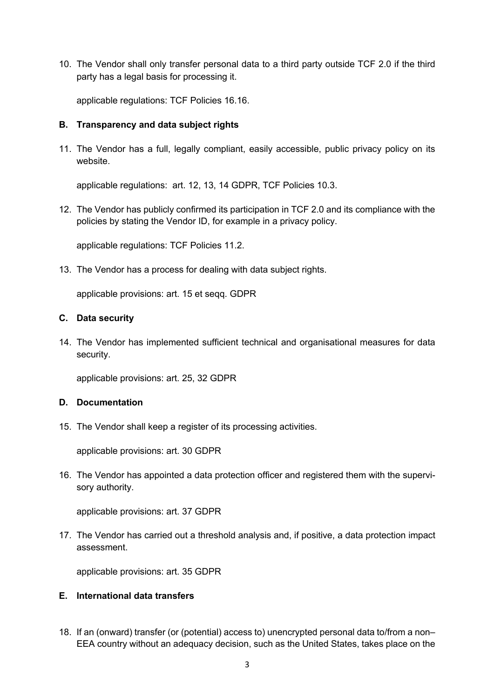10. The Vendor shall only transfer personal data to a third party outside TCF 2.0 if the third party has a legal basis for processing it.

applicable regulations: TCF Policies 16.16.

#### **B. Transparency and data subject rights**

11. The Vendor has a full, legally compliant, easily accessible, public privacy policy on its website.

applicable regulations: art. 12, 13, 14 GDPR, TCF Policies 10.3.

12. The Vendor has publicly confirmed its participation in TCF 2.0 and its compliance with the policies by stating the Vendor ID, for example in a privacy policy.

applicable regulations: TCF Policies 11.2.

13. The Vendor has a process for dealing with data subject rights.

applicable provisions: art. 15 et seqq. GDPR

#### **C. Data security**

14. The Vendor has implemented sufficient technical and organisational measures for data security.

applicable provisions: art. 25, 32 GDPR

#### **D. Documentation**

15. The Vendor shall keep a register of its processing activities.

applicable provisions: art. 30 GDPR

16. The Vendor has appointed a data protection officer and registered them with the supervisory authority.

applicable provisions: art. 37 GDPR

17. The Vendor has carried out a threshold analysis and, if positive, a data protection impact assessment.

applicable provisions: art. 35 GDPR

#### **E. International data transfers**

18. If an (onward) transfer (or (potential) access to) unencrypted personal data to/from a non– EEA country without an adequacy decision, such as the United States, takes place on the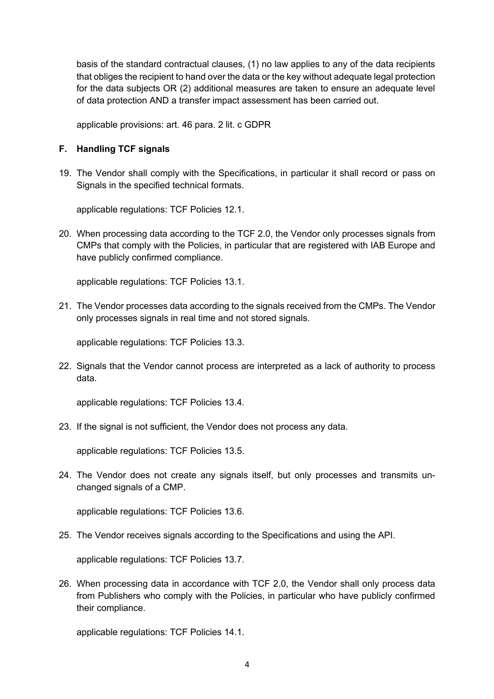basis of the standard contractual clauses, (1) no law applies to any of the data recipients that obliges the recipient to hand over the data or the key without adequate legal protection for the data subjects OR (2) additional measures are taken to ensure an adequate level of data protection AND a transfer impact assessment has been carried out.

applicable provisions: art. 46 para. 2 lit. c GDPR

#### **F. Handling TCF signals**

19. The Vendor shall comply with the Specifications, in particular it shall record or pass on Signals in the specified technical formats.

applicable regulations: TCF Policies 12.1.

20. When processing data according to the TCF 2.0, the Vendor only processes signals from CMPs that comply with the Policies, in particular that are registered with IAB Europe and have publicly confirmed compliance.

applicable regulations: TCF Policies 13.1.

21. The Vendor processes data according to the signals received from the CMPs. The Vendor only processes signals in real time and not stored signals.

applicable regulations: TCF Policies 13.3.

22. Signals that the Vendor cannot process are interpreted as a lack of authority to process data.

applicable regulations: TCF Policies 13.4.

23. If the signal is not sufficient, the Vendor does not process any data.

applicable regulations: TCF Policies 13.5.

24. The Vendor does not create any signals itself, but only processes and transmits unchanged signals of a CMP.

applicable regulations: TCF Policies 13.6.

25. The Vendor receives signals according to the Specifications and using the API.

applicable regulations: TCF Policies 13.7.

26. When processing data in accordance with TCF 2.0, the Vendor shall only process data from Publishers who comply with the Policies, in particular who have publicly confirmed their compliance.

applicable regulations: TCF Policies 14.1.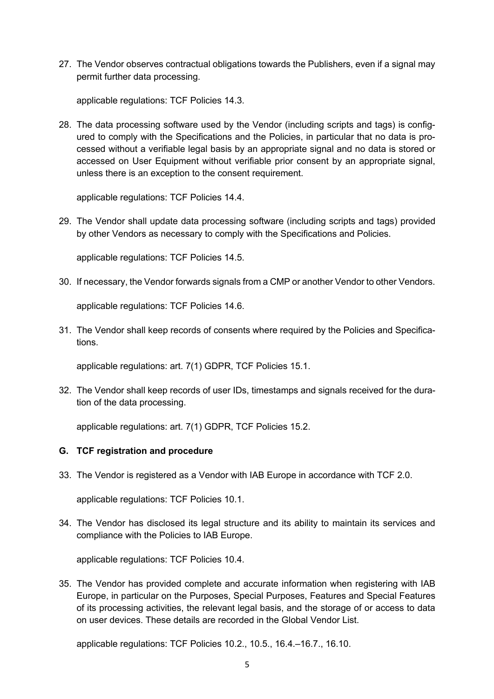27. The Vendor observes contractual obligations towards the Publishers, even if a signal may permit further data processing.

applicable regulations: TCF Policies 14.3.

28. The data processing software used by the Vendor (including scripts and tags) is configured to comply with the Specifications and the Policies, in particular that no data is processed without a verifiable legal basis by an appropriate signal and no data is stored or accessed on User Equipment without verifiable prior consent by an appropriate signal, unless there is an exception to the consent requirement.

applicable regulations: TCF Policies 14.4.

29. The Vendor shall update data processing software (including scripts and tags) provided by other Vendors as necessary to comply with the Specifications and Policies.

applicable regulations: TCF Policies 14.5.

30. If necessary, the Vendor forwards signals from a CMP or another Vendor to other Vendors.

applicable regulations: TCF Policies 14.6.

31. The Vendor shall keep records of consents where required by the Policies and Specifications.

applicable regulations: art. 7(1) GDPR, TCF Policies 15.1.

32. The Vendor shall keep records of user IDs, timestamps and signals received for the duration of the data processing.

applicable regulations: art. 7(1) GDPR, TCF Policies 15.2.

#### **G. TCF registration and procedure**

33. The Vendor is registered as a Vendor with IAB Europe in accordance with TCF 2.0.

applicable regulations: TCF Policies 10.1.

34. The Vendor has disclosed its legal structure and its ability to maintain its services and compliance with the Policies to IAB Europe.

applicable regulations: TCF Policies 10.4.

35. The Vendor has provided complete and accurate information when registering with IAB Europe, in particular on the Purposes, Special Purposes, Features and Special Features of its processing activities, the relevant legal basis, and the storage of or access to data on user devices. These details are recorded in the Global Vendor List.

applicable regulations: TCF Policies 10.2., 10.5., 16.4.–16.7., 16.10.